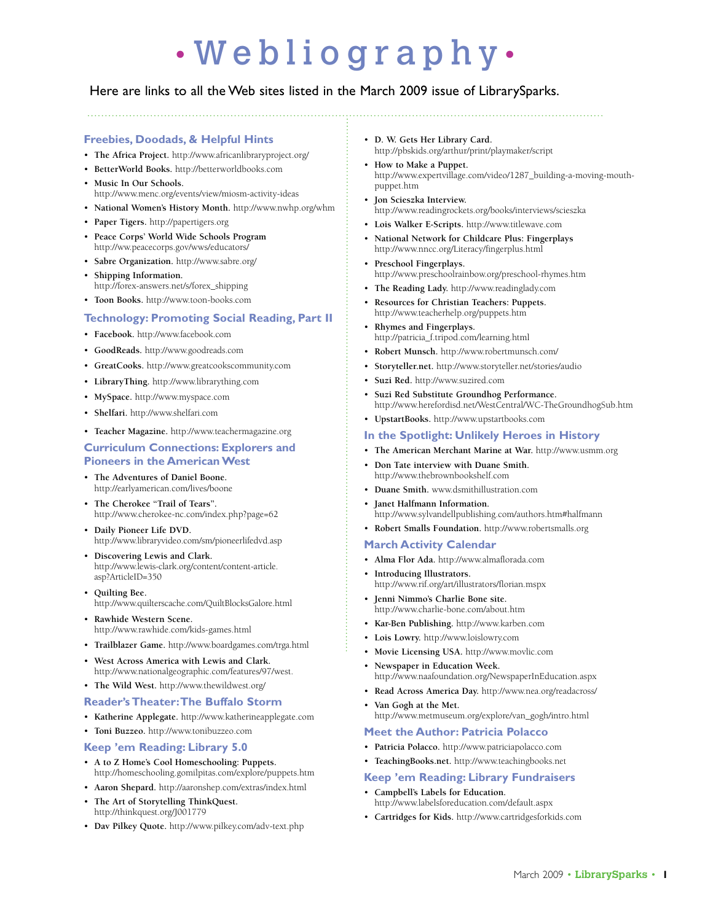# • W e b l i o g r a p h y •

# Here are links to all the Web sites listed in the March 2009 issue of LibrarySparks.

# **Freebies, Doodads, & Helpful Hints**

- • **The Africa Project.** http://www.africanlibraryproject.org/
- • **BetterWorld Books.** http://betterworldbooks.com
- **Music In Our Schools.** http://www.menc.org/events/view/miosm-activity-ideas
- • **National Women's History Month.** http://www.nwhp.org/whm
- • **Paper Tigers.** http://papertigers.org
- Peace Corps' World Wide Schools Program http://ww.peacecorps.gov/wws/educators/
- • **Sabre Organization.** http://www.sabre.org/
- • **Shipping Information.**  http://forex-answers.net/s/forex\_shipping
- • **Toon Books.** http://www.toon-books.com

# **Technology: Promoting Social Reading, Part II**

- • **Facebook.** http://www.facebook.com
- • **GoodReads.** http://www.goodreads.com
- • **GreatCooks.** http://www.greatcookscommunity.com
- • **LibraryThing.** http://www.librarything.com
- • **MySpace.** http://www.myspace.com
- • **Shelfari.** http://www.shelfari.com
- • **Teacher Magazine.** http://www.teachermagazine.org

### **Curriculum Connections: Explorers and Pioneers in the American West**

- The Adventures of Daniel Boone. http://earlyamerican.com/lives/boone
- The Cherokee "Trail of Tears". http://www.cherokee-nc.com/index.php?page=62
- Daily Pioneer Life DVD. http://www.libraryvideo.com/sm/pioneerlifedvd.asp
- • **Discovering Lewis and Clark.**  http://www.lewis-clark.org/content/content-article. asp?ArticleID=350
- • **Quilting Bee.**  http://www.quilterscache.com/QuiltBlocksGalore.html
- **Rawhide Western Scene.** http://www.rawhide.com/kids-games.html
- • **Trailblazer Game.** http://www.boardgames.com/trga.html
- **West Across America with Lewis and Clark.** http://www.nationalgeographic.com/features/97/west.
- • **The Wild West.** http://www.thewildwest.org/

### **Reader's Theater: The Buffalo Storm**

- • **Katherine Applegate.** http://www.katherineapplegate.com
- • **Toni Buzzeo.** http://www.tonibuzzeo.com

### **Keep 'em Reading: Library 5.0**

- • **A to Z Home's Cool Homeschooling: Puppets.**  http://homeschooling.gomilpitas.com/explore/puppets.htm
- • **Aaron Shepard.** http://aaronshep.com/extras/index.html
- • **The Art of Storytelling ThinkQuest.**  http://thinkquest.org/J001779
- • **Dav Pilkey Quote.** http://www.pilkey.com/adv-text.php
- • **D. W. Gets Her Library Card.**  http://pbskids.org/arthur/print/playmaker/script
- • **How to Make a Puppet.** http://www.expertvillage.com/video/1287\_building-a-moving-mouthpuppet.htm
- • **Jon Scieszka Interview.**  http://www.readingrockets.org/books/interviews/scieszka
- • **Lois Walker E-Scripts.** http://www.titlewave.com
- **National Network for Childcare Plus: Fingerplays** http://www.nncc.org/Literacy/fingerplus.html
- Preschool Fingerplays. http://www.preschoolrainbow.org/preschool-rhymes.htm
- • **The Reading Lady.** http://www.readinglady.com
- Resources for Christian Teachers: Puppets. http://www.teacherhelp.org/puppets.htm
- • **Rhymes and Fingerplays.**  http://patricia\_f.tripod.com/learning.html
- • **Robert Munsch.** http://www.robertmunsch.com/
- • **Storyteller.net.** http://www.storyteller.net/stories/audio
- • **Suzi Red.** http://www.suzired.com
- Suzi Red Substitute Groundhog Performance. http://www.herefordisd.net/WestCentral/WC-TheGroundhogSub.htm
- • **UpstartBooks.** http://www.upstartbooks.com

# **In the Spotlight: Unlikely Heroes in History**

- • **The American Merchant Marine at War.** http://www.usmm.org
- **Don Tate interview with Duane Smith.** http://www.thebrownbookshelf.com
- • **Duane Smith.** www.dsmithillustration.com
- Janet Halfmann Information. http://www.sylvandellpublishing.com/authors.htm#halfmann
- • **Robert Smalls Foundation.** http://www.robertsmalls.org

### **March Activity Calendar**

- • **Alma Flor Ada.** http://www.almaflorada.com
- **Introducing Illustrators.** http://www.rif.org/art/illustrators/florian.mspx
- Jenni Nimmo's Charlie Bone site. http://www.charlie-bone.com/about.htm
- • **Kar-Ben Publishing.** http://www.karben.com
- • **Lois Lowry.** http://www.loislowry.com
- • **Movie Licensing USA.** http://www.movlic.com
- **Newspaper in Education Week.** http://www.naafoundation.org/NewspaperInEducation.aspx
- • **Read Across America Day.** http://www.nea.org/readacross/
- Van Gogh at the Met. http://www.metmuseum.org/explore/van\_gogh/intro.html

# **Meet the Author: Patricia Polacco**

- • **Patricia Polacco.** http://www.patriciapolacco.com
- • **TeachingBooks.net.** http://www.teachingbooks.net

### **Keep 'em Reading: Library Fundraisers**

- Campbell's Labels for Education. http://www.labelsforeducation.com/default.aspx
- • **Cartridges for Kids.** http://www.cartridgesforkids.com